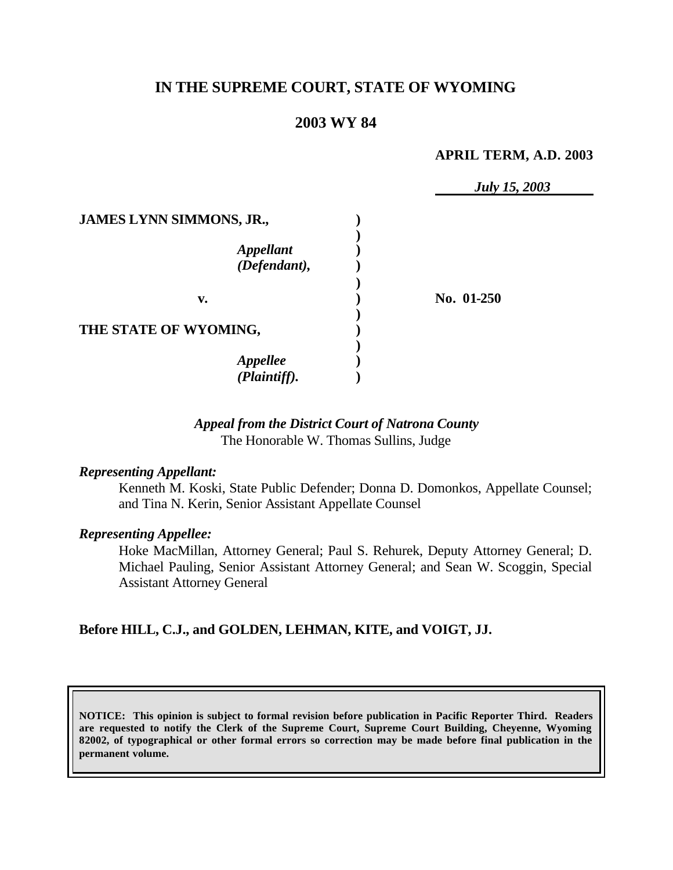# **IN THE SUPREME COURT, STATE OF WYOMING**

# **2003 WY 84**

#### **APRIL TERM, A.D. 2003**

|                                                                     | <b>July 15, 2003</b> |
|---------------------------------------------------------------------|----------------------|
| <b>JAMES LYNN SIMMONS, JR.,</b><br><b>Appellant</b><br>(Defendant), |                      |
| v.                                                                  | No. 01-250           |
| THE STATE OF WYOMING,                                               |                      |
| <b>Appellee</b><br>(Plaintiff).                                     |                      |

# *Appeal from the District Court of Natrona County* The Honorable W. Thomas Sullins, Judge

#### *Representing Appellant:*

Kenneth M. Koski, State Public Defender; Donna D. Domonkos, Appellate Counsel; and Tina N. Kerin, Senior Assistant Appellate Counsel

#### *Representing Appellee:*

Hoke MacMillan, Attorney General; Paul S. Rehurek, Deputy Attorney General; D. Michael Pauling, Senior Assistant Attorney General; and Sean W. Scoggin, Special Assistant Attorney General

### **Before HILL, C.J., and GOLDEN, LEHMAN, KITE, and VOIGT, JJ.**

**NOTICE: This opinion is subject to formal revision before publication in Pacific Reporter Third. Readers are requested to notify the Clerk of the Supreme Court, Supreme Court Building, Cheyenne, Wyoming 82002, of typographical or other formal errors so correction may be made before final publication in the permanent volume.**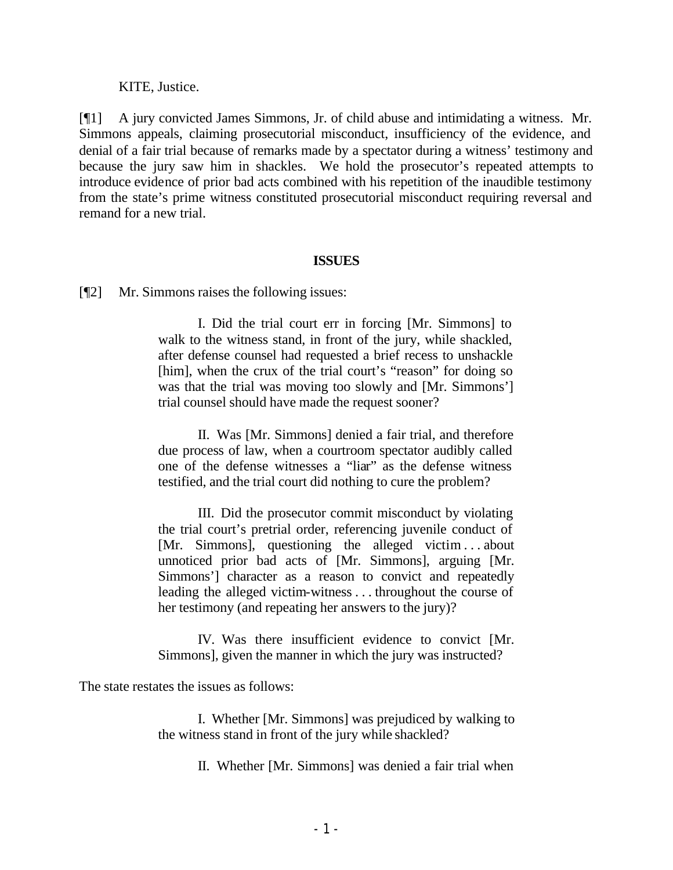### KITE, Justice.

[¶1] A jury convicted James Simmons, Jr. of child abuse and intimidating a witness. Mr. Simmons appeals, claiming prosecutorial misconduct, insufficiency of the evidence, and denial of a fair trial because of remarks made by a spectator during a witness' testimony and because the jury saw him in shackles. We hold the prosecutor's repeated attempts to introduce evidence of prior bad acts combined with his repetition of the inaudible testimony from the state's prime witness constituted prosecutorial misconduct requiring reversal and remand for a new trial.

### **ISSUES**

[¶2] Mr. Simmons raises the following issues:

I. Did the trial court err in forcing [Mr. Simmons] to walk to the witness stand, in front of the jury, while shackled, after defense counsel had requested a brief recess to unshackle [him], when the crux of the trial court's "reason" for doing so was that the trial was moving too slowly and [Mr. Simmons'] trial counsel should have made the request sooner?

II. Was [Mr. Simmons] denied a fair trial, and therefore due process of law, when a courtroom spectator audibly called one of the defense witnesses a "liar" as the defense witness testified, and the trial court did nothing to cure the problem?

III. Did the prosecutor commit misconduct by violating the trial court's pretrial order, referencing juvenile conduct of [Mr. Simmons], questioning the alleged victim ... about unnoticed prior bad acts of [Mr. Simmons], arguing [Mr. Simmons'] character as a reason to convict and repeatedly leading the alleged victim-witness . . . throughout the course of her testimony (and repeating her answers to the jury)?

IV. Was there insufficient evidence to convict [Mr. Simmons], given the manner in which the jury was instructed?

The state restates the issues as follows:

I. Whether [Mr. Simmons] was prejudiced by walking to the witness stand in front of the jury while shackled?

II. Whether [Mr. Simmons] was denied a fair trial when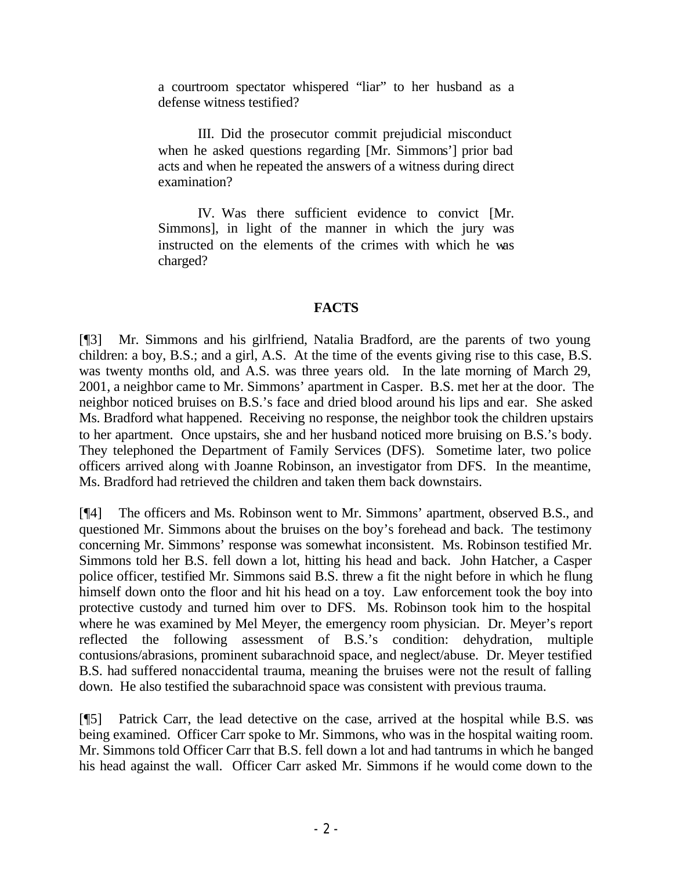a courtroom spectator whispered "liar" to her husband as a defense witness testified?

III. Did the prosecutor commit prejudicial misconduct when he asked questions regarding [Mr. Simmons'] prior bad acts and when he repeated the answers of a witness during direct examination?

IV. Was there sufficient evidence to convict [Mr. Simmons], in light of the manner in which the jury was instructed on the elements of the crimes with which he was charged?

# **FACTS**

[¶3] Mr. Simmons and his girlfriend, Natalia Bradford, are the parents of two young children: a boy, B.S.; and a girl, A.S. At the time of the events giving rise to this case, B.S. was twenty months old, and A.S. was three years old. In the late morning of March 29, 2001, a neighbor came to Mr. Simmons' apartment in Casper. B.S. met her at the door. The neighbor noticed bruises on B.S.'s face and dried blood around his lips and ear. She asked Ms. Bradford what happened. Receiving no response, the neighbor took the children upstairs to her apartment. Once upstairs, she and her husband noticed more bruising on B.S.'s body. They telephoned the Department of Family Services (DFS). Sometime later, two police officers arrived along with Joanne Robinson, an investigator from DFS. In the meantime, Ms. Bradford had retrieved the children and taken them back downstairs.

[¶4] The officers and Ms. Robinson went to Mr. Simmons' apartment, observed B.S., and questioned Mr. Simmons about the bruises on the boy's forehead and back. The testimony concerning Mr. Simmons' response was somewhat inconsistent. Ms. Robinson testified Mr. Simmons told her B.S. fell down a lot, hitting his head and back. John Hatcher, a Casper police officer, testified Mr. Simmons said B.S. threw a fit the night before in which he flung himself down onto the floor and hit his head on a toy. Law enforcement took the boy into protective custody and turned him over to DFS. Ms. Robinson took him to the hospital where he was examined by Mel Meyer, the emergency room physician. Dr. Meyer's report reflected the following assessment of B.S.'s condition: dehydration, multiple contusions/abrasions, prominent subarachnoid space, and neglect/abuse. Dr. Meyer testified B.S. had suffered nonaccidental trauma, meaning the bruises were not the result of falling down. He also testified the subarachnoid space was consistent with previous trauma.

[¶5] Patrick Carr, the lead detective on the case, arrived at the hospital while B.S. was being examined. Officer Carr spoke to Mr. Simmons, who was in the hospital waiting room. Mr. Simmons told Officer Carr that B.S. fell down a lot and had tantrums in which he banged his head against the wall. Officer Carr asked Mr. Simmons if he would come down to the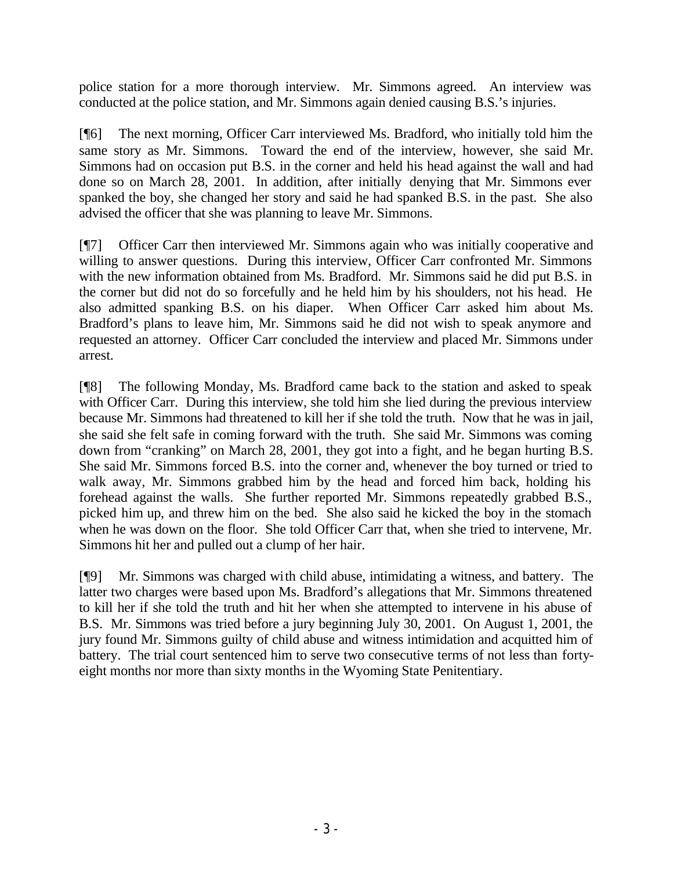police station for a more thorough interview. Mr. Simmons agreed. An interview was conducted at the police station, and Mr. Simmons again denied causing B.S.'s injuries.

[¶6] The next morning, Officer Carr interviewed Ms. Bradford, who initially told him the same story as Mr. Simmons. Toward the end of the interview, however, she said Mr. Simmons had on occasion put B.S. in the corner and held his head against the wall and had done so on March 28, 2001. In addition, after initially denying that Mr. Simmons ever spanked the boy, she changed her story and said he had spanked B.S. in the past. She also advised the officer that she was planning to leave Mr. Simmons.

[¶7] Officer Carr then interviewed Mr. Simmons again who was initially cooperative and willing to answer questions. During this interview, Officer Carr confronted Mr. Simmons with the new information obtained from Ms. Bradford. Mr. Simmons said he did put B.S. in the corner but did not do so forcefully and he held him by his shoulders, not his head. He also admitted spanking B.S. on his diaper. When Officer Carr asked him about Ms. Bradford's plans to leave him, Mr. Simmons said he did not wish to speak anymore and requested an attorney. Officer Carr concluded the interview and placed Mr. Simmons under arrest.

[¶8] The following Monday, Ms. Bradford came back to the station and asked to speak with Officer Carr. During this interview, she told him she lied during the previous interview because Mr. Simmons had threatened to kill her if she told the truth. Now that he was in jail, she said she felt safe in coming forward with the truth. She said Mr. Simmons was coming down from "cranking" on March 28, 2001, they got into a fight, and he began hurting B.S. She said Mr. Simmons forced B.S. into the corner and, whenever the boy turned or tried to walk away, Mr. Simmons grabbed him by the head and forced him back, holding his forehead against the walls. She further reported Mr. Simmons repeatedly grabbed B.S., picked him up, and threw him on the bed. She also said he kicked the boy in the stomach when he was down on the floor. She told Officer Carr that, when she tried to intervene, Mr. Simmons hit her and pulled out a clump of her hair.

[¶9] Mr. Simmons was charged with child abuse, intimidating a witness, and battery. The latter two charges were based upon Ms. Bradford's allegations that Mr. Simmons threatened to kill her if she told the truth and hit her when she attempted to intervene in his abuse of B.S. Mr. Simmons was tried before a jury beginning July 30, 2001. On August 1, 2001, the jury found Mr. Simmons guilty of child abuse and witness intimidation and acquitted him of battery. The trial court sentenced him to serve two consecutive terms of not less than fortyeight months nor more than sixty months in the Wyoming State Penitentiary.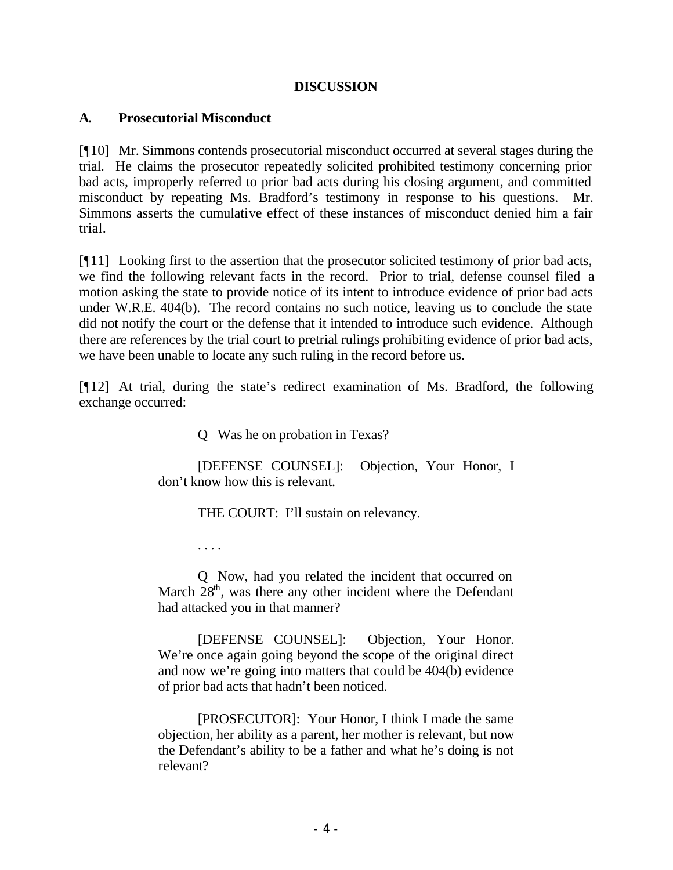# **DISCUSSION**

# **A. Prosecutorial Misconduct**

[¶10] Mr. Simmons contends prosecutorial misconduct occurred at several stages during the trial. He claims the prosecutor repeatedly solicited prohibited testimony concerning prior bad acts, improperly referred to prior bad acts during his closing argument, and committed misconduct by repeating Ms. Bradford's testimony in response to his questions. Mr. Simmons asserts the cumulative effect of these instances of misconduct denied him a fair trial.

[¶11] Looking first to the assertion that the prosecutor solicited testimony of prior bad acts, we find the following relevant facts in the record. Prior to trial, defense counsel filed a motion asking the state to provide notice of its intent to introduce evidence of prior bad acts under W.R.E. 404(b). The record contains no such notice, leaving us to conclude the state did not notify the court or the defense that it intended to introduce such evidence. Although there are references by the trial court to pretrial rulings prohibiting evidence of prior bad acts, we have been unable to locate any such ruling in the record before us.

[¶12] At trial, during the state's redirect examination of Ms. Bradford, the following exchange occurred:

Q Was he on probation in Texas?

[DEFENSE COUNSEL]: Objection, Your Honor, I don't know how this is relevant.

THE COURT: I'll sustain on relevancy.

. . . .

Q Now, had you related the incident that occurred on March  $28<sup>th</sup>$ , was there any other incident where the Defendant had attacked you in that manner?

[DEFENSE COUNSEL]: Objection, Your Honor. We're once again going beyond the scope of the original direct and now we're going into matters that could be 404(b) evidence of prior bad acts that hadn't been noticed.

[PROSECUTOR]: Your Honor, I think I made the same objection, her ability as a parent, her mother is relevant, but now the Defendant's ability to be a father and what he's doing is not relevant?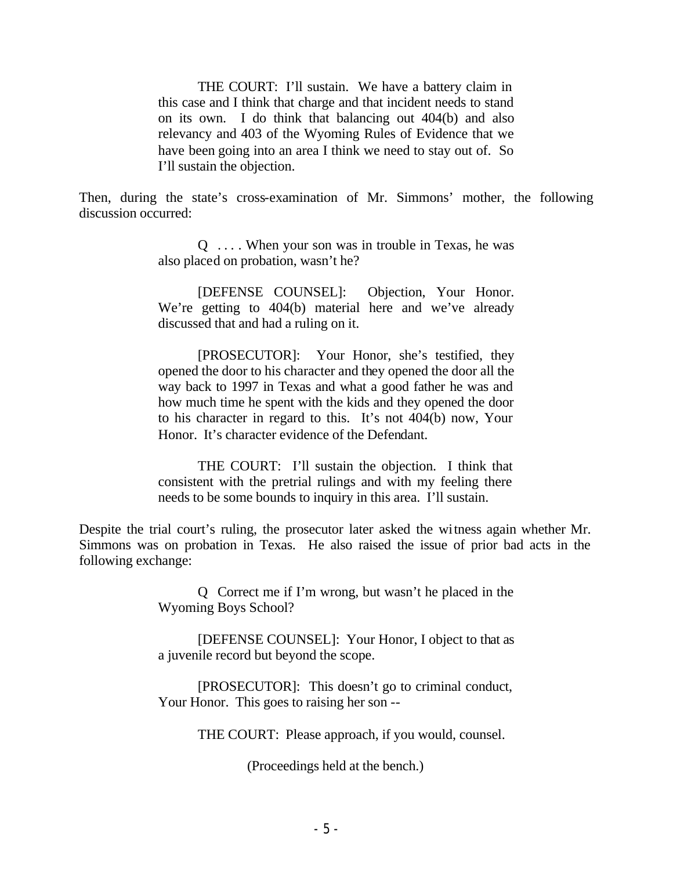THE COURT: I'll sustain. We have a battery claim in this case and I think that charge and that incident needs to stand on its own. I do think that balancing out 404(b) and also relevancy and 403 of the Wyoming Rules of Evidence that we have been going into an area I think we need to stay out of. So I'll sustain the objection.

Then, during the state's cross-examination of Mr. Simmons' mother, the following discussion occurred:

> $Q \dots$ . When your son was in trouble in Texas, he was also placed on probation, wasn't he?

> [DEFENSE COUNSEL]: Objection, Your Honor. We're getting to 404(b) material here and we've already discussed that and had a ruling on it.

> [PROSECUTOR]: Your Honor, she's testified, they opened the door to his character and they opened the door all the way back to 1997 in Texas and what a good father he was and how much time he spent with the kids and they opened the door to his character in regard to this. It's not 404(b) now, Your Honor. It's character evidence of the Defendant.

> THE COURT: I'll sustain the objection. I think that consistent with the pretrial rulings and with my feeling there needs to be some bounds to inquiry in this area. I'll sustain.

Despite the trial court's ruling, the prosecutor later asked the witness again whether Mr. Simmons was on probation in Texas. He also raised the issue of prior bad acts in the following exchange:

> Q Correct me if I'm wrong, but wasn't he placed in the Wyoming Boys School?

> [DEFENSE COUNSEL]: Your Honor, I object to that as a juvenile record but beyond the scope.

> [PROSECUTOR]: This doesn't go to criminal conduct, Your Honor. This goes to raising her son --

> > THE COURT: Please approach, if you would, counsel.

(Proceedings held at the bench.)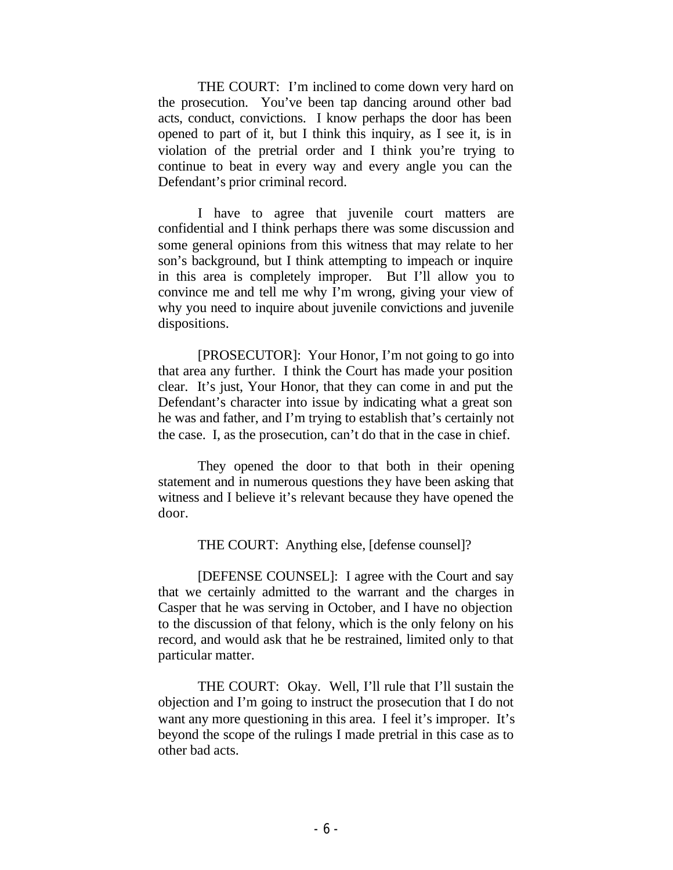THE COURT: I'm inclined to come down very hard on the prosecution. You've been tap dancing around other bad acts, conduct, convictions. I know perhaps the door has been opened to part of it, but I think this inquiry, as I see it, is in violation of the pretrial order and I think you're trying to continue to beat in every way and every angle you can the Defendant's prior criminal record.

I have to agree that juvenile court matters are confidential and I think perhaps there was some discussion and some general opinions from this witness that may relate to her son's background, but I think attempting to impeach or inquire in this area is completely improper. But I'll allow you to convince me and tell me why I'm wrong, giving your view of why you need to inquire about juvenile convictions and juvenile dispositions.

[PROSECUTOR]: Your Honor, I'm not going to go into that area any further. I think the Court has made your position clear. It's just, Your Honor, that they can come in and put the Defendant's character into issue by indicating what a great son he was and father, and I'm trying to establish that's certainly not the case. I, as the prosecution, can't do that in the case in chief.

They opened the door to that both in their opening statement and in numerous questions they have been asking that witness and I believe it's relevant because they have opened the door.

THE COURT: Anything else, [defense counsel]?

[DEFENSE COUNSEL]: I agree with the Court and say that we certainly admitted to the warrant and the charges in Casper that he was serving in October, and I have no objection to the discussion of that felony, which is the only felony on his record, and would ask that he be restrained, limited only to that particular matter.

THE COURT: Okay. Well, I'll rule that I'll sustain the objection and I'm going to instruct the prosecution that I do not want any more questioning in this area. I feel it's improper. It's beyond the scope of the rulings I made pretrial in this case as to other bad acts.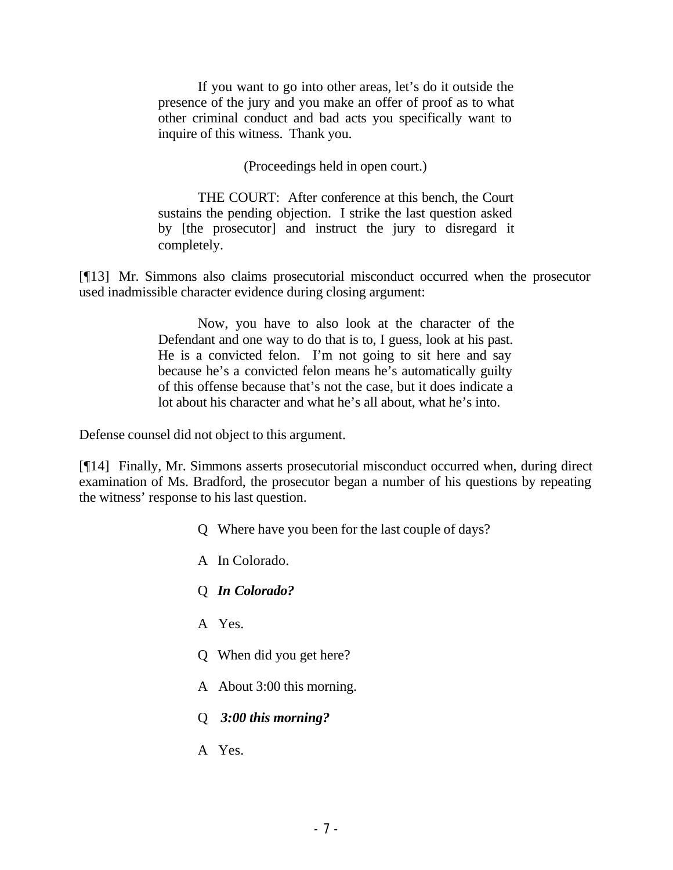If you want to go into other areas, let's do it outside the presence of the jury and you make an offer of proof as to what other criminal conduct and bad acts you specifically want to inquire of this witness. Thank you.

(Proceedings held in open court.)

THE COURT: After conference at this bench, the Court sustains the pending objection. I strike the last question asked by [the prosecutor] and instruct the jury to disregard it completely.

[¶13] Mr. Simmons also claims prosecutorial misconduct occurred when the prosecutor used inadmissible character evidence during closing argument:

> Now, you have to also look at the character of the Defendant and one way to do that is to, I guess, look at his past. He is a convicted felon. I'm not going to sit here and say because he's a convicted felon means he's automatically guilty of this offense because that's not the case, but it does indicate a lot about his character and what he's all about, what he's into.

Defense counsel did not object to this argument.

[¶14] Finally, Mr. Simmons asserts prosecutorial misconduct occurred when, during direct examination of Ms. Bradford, the prosecutor began a number of his questions by repeating the witness' response to his last question.

- Q Where have you been for the last couple of days?
- A In Colorado.
- Q *In Colorado?*
- A Yes.
- Q When did you get here?
- A About 3:00 this morning.
- Q *3:00 this morning?*
- A Yes.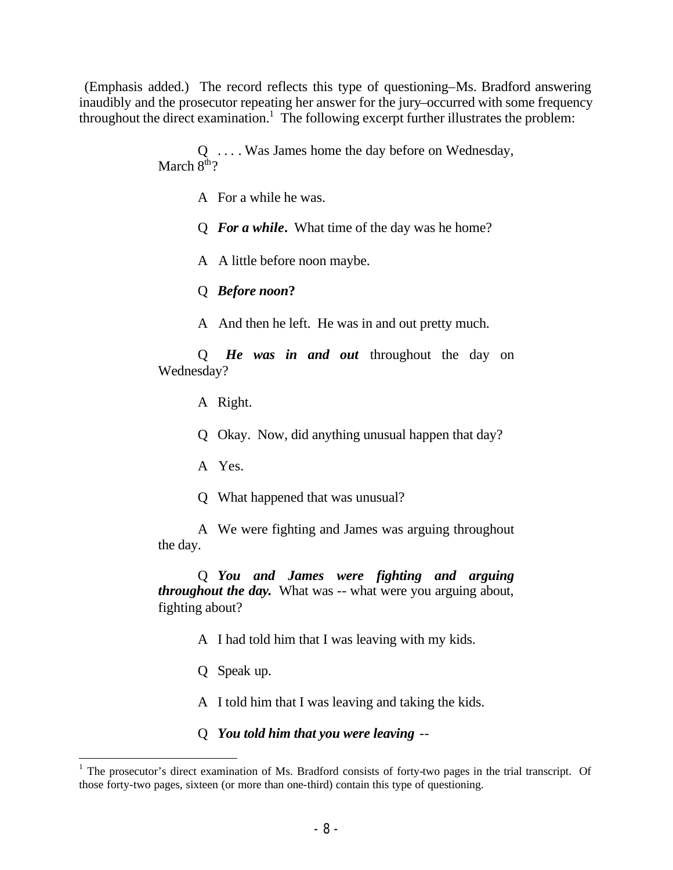(Emphasis added.) The record reflects this type of questioning–Ms. Bradford answering inaudibly and the prosecutor repeating her answer for the jury–occurred with some frequency throughout the direct examination.<sup>1</sup> The following excerpt further illustrates the problem:

> Q . . . . Was James home the day before on Wednesday, March  $8^{\text{th}}$ ?

> > A For a while he was.

Q *For a while***.** What time of the day was he home?

A A little before noon maybe.

Q *Before noon***?**

A And then he left. He was in and out pretty much.

Q *He was in and out* throughout the day on Wednesday?

A Right.

Q Okay. Now, did anything unusual happen that day?

A Yes.

Q What happened that was unusual?

A We were fighting and James was arguing throughout the day.

Q *You and James were fighting and arguing throughout the day***.** What was -- what were you arguing about, fighting about?

A I had told him that I was leaving with my kids.

Q Speak up.

A I told him that I was leaving and taking the kids.

Q *You told him that you were leaving* --

<sup>&</sup>lt;sup>1</sup> The prosecutor's direct examination of Ms. Bradford consists of forty-two pages in the trial transcript. Of those forty-two pages, sixteen (or more than one-third) contain this type of questioning.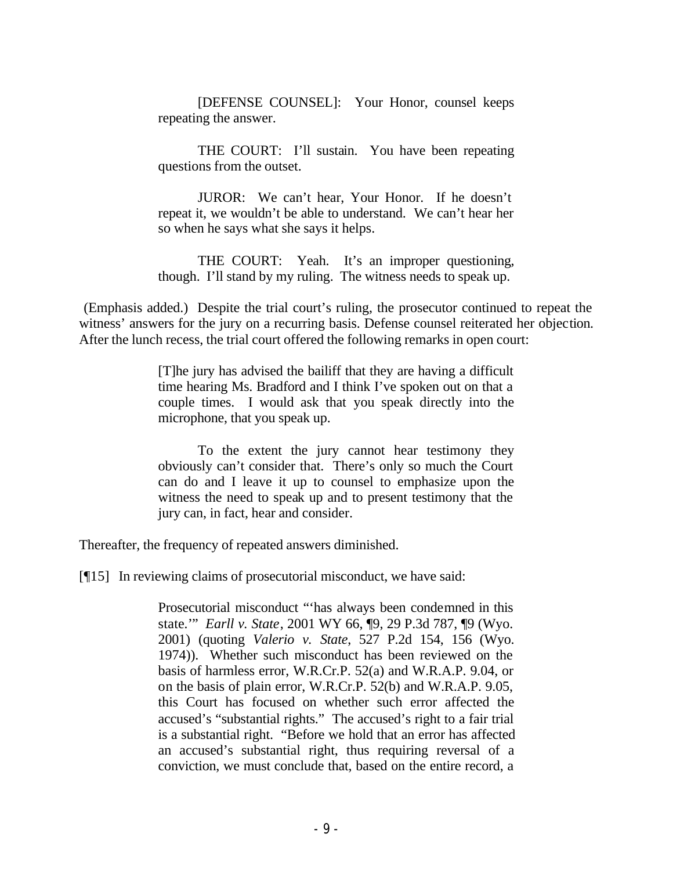[DEFENSE COUNSEL]: Your Honor, counsel keeps repeating the answer.

THE COURT: I'll sustain. You have been repeating questions from the outset.

JUROR: We can't hear, Your Honor. If he doesn't repeat it, we wouldn't be able to understand. We can't hear her so when he says what she says it helps.

THE COURT: Yeah. It's an improper questioning, though. I'll stand by my ruling. The witness needs to speak up.

 (Emphasis added.) Despite the trial court's ruling, the prosecutor continued to repeat the witness' answers for the jury on a recurring basis. Defense counsel reiterated her objection. After the lunch recess, the trial court offered the following remarks in open court:

> [T]he jury has advised the bailiff that they are having a difficult time hearing Ms. Bradford and I think I've spoken out on that a couple times. I would ask that you speak directly into the microphone, that you speak up.

> To the extent the jury cannot hear testimony they obviously can't consider that. There's only so much the Court can do and I leave it up to counsel to emphasize upon the witness the need to speak up and to present testimony that the jury can, in fact, hear and consider.

Thereafter, the frequency of repeated answers diminished.

[¶15] In reviewing claims of prosecutorial misconduct, we have said:

Prosecutorial misconduct "'has always been condemned in this state*.*'" *Earll v. State*, 2001 WY 66, ¶9, 29 P.3d 787, ¶9 (Wyo. 2001) (quoting *Valerio v. State*, 527 P.2d 154, 156 (Wyo. 1974)). Whether such misconduct has been reviewed on the basis of harmless error, W.R.Cr.P. 52(a) and W.R.A.P. 9.04, or on the basis of plain error, W.R.Cr.P. 52(b) and W.R.A.P. 9.05, this Court has focused on whether such error affected the accused's "substantial rights." The accused's right to a fair trial is a substantial right. "Before we hold that an error has affected an accused's substantial right, thus requiring reversal of a conviction, we must conclude that, based on the entire record, a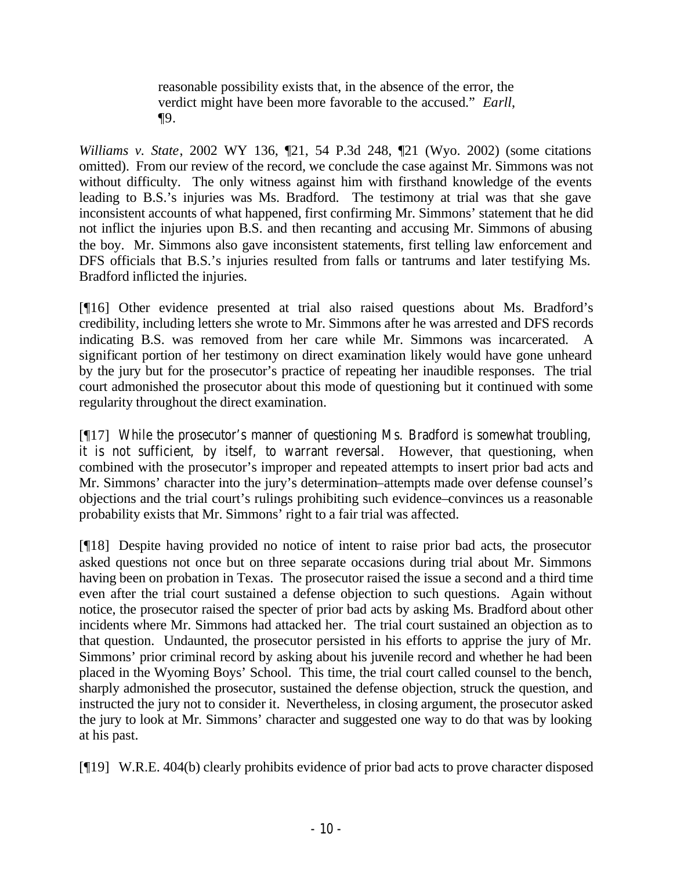reasonable possibility exists that, in the absence of the error, the verdict might have been more favorable to the accused." *Earll*, ¶9.

*Williams v. State*, 2002 WY 136, ¶21, 54 P.3d 248, ¶21 (Wyo. 2002) (some citations omitted). From our review of the record, we conclude the case against Mr. Simmons was not without difficulty. The only witness against him with firsthand knowledge of the events leading to B.S.'s injuries was Ms. Bradford. The testimony at trial was that she gave inconsistent accounts of what happened, first confirming Mr. Simmons' statement that he did not inflict the injuries upon B.S. and then recanting and accusing Mr. Simmons of abusing the boy. Mr. Simmons also gave inconsistent statements, first telling law enforcement and DFS officials that B.S.'s injuries resulted from falls or tantrums and later testifying Ms. Bradford inflicted the injuries.

[¶16] Other evidence presented at trial also raised questions about Ms. Bradford's credibility, including letters she wrote to Mr. Simmons after he was arrested and DFS records indicating B.S. was removed from her care while Mr. Simmons was incarcerated. A significant portion of her testimony on direct examination likely would have gone unheard by the jury but for the prosecutor's practice of repeating her inaudible responses. The trial court admonished the prosecutor about this mode of questioning but it continued with some regularity throughout the direct examination.

[¶17] While the prosecutor's manner of questioning Ms. Bradford is somewhat troubling, it is not sufficient, by itself, to warrant reversal. However, that questioning, when combined with the prosecutor's improper and repeated attempts to insert prior bad acts and Mr. Simmons' character into the jury's determination–attempts made over defense counsel's objections and the trial court's rulings prohibiting such evidence–convinces us a reasonable probability exists that Mr. Simmons' right to a fair trial was affected.

[¶18] Despite having provided no notice of intent to raise prior bad acts, the prosecutor asked questions not once but on three separate occasions during trial about Mr. Simmons having been on probation in Texas. The prosecutor raised the issue a second and a third time even after the trial court sustained a defense objection to such questions. Again without notice, the prosecutor raised the specter of prior bad acts by asking Ms. Bradford about other incidents where Mr. Simmons had attacked her. The trial court sustained an objection as to that question. Undaunted, the prosecutor persisted in his efforts to apprise the jury of Mr. Simmons' prior criminal record by asking about his juvenile record and whether he had been placed in the Wyoming Boys' School. This time, the trial court called counsel to the bench, sharply admonished the prosecutor, sustained the defense objection, struck the question, and instructed the jury not to consider it. Nevertheless, in closing argument, the prosecutor asked the jury to look at Mr. Simmons' character and suggested one way to do that was by looking at his past.

[¶19] W.R.E. 404(b) clearly prohibits evidence of prior bad acts to prove character disposed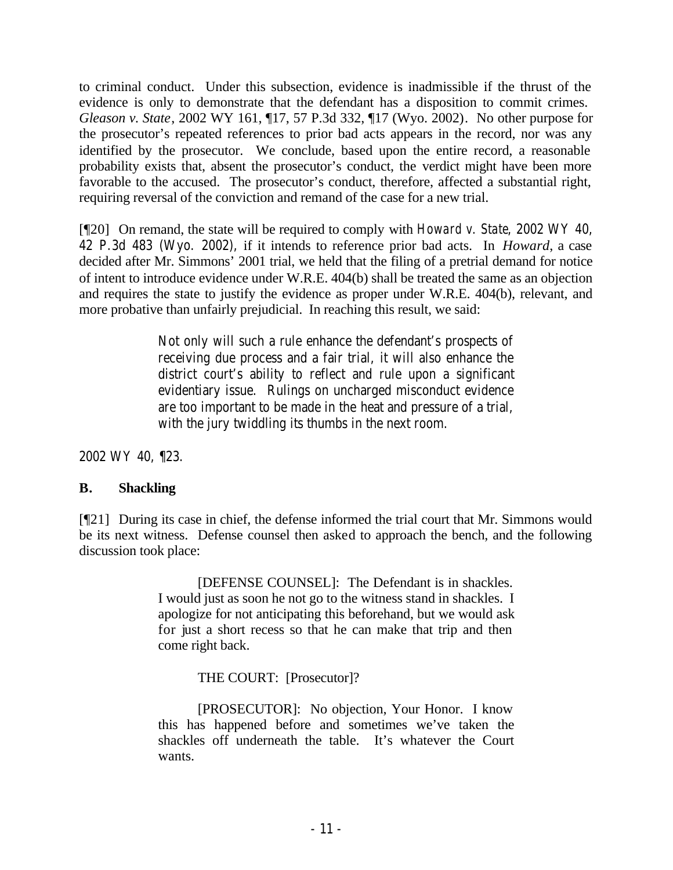to criminal conduct. Under this subsection, evidence is inadmissible if the thrust of the evidence is only to demonstrate that the defendant has a disposition to commit crimes. *Gleason v. State*, 2002 WY 161, ¶17, 57 P.3d 332, ¶17 (Wyo. 2002). No other purpose for the prosecutor's repeated references to prior bad acts appears in the record, nor was any identified by the prosecutor. We conclude, based upon the entire record, a reasonable probability exists that, absent the prosecutor's conduct, the verdict might have been more favorable to the accused. The prosecutor's conduct, therefore, affected a substantial right, requiring reversal of the conviction and remand of the case for a new trial.

[¶20] On remand, the state will be required to comply with *Howard v. State*, 2002 WY 40, 42 P.3d 483 (Wyo. 2002), if it intends to reference prior bad acts. In *Howard*, a case decided after Mr. Simmons' 2001 trial, we held that the filing of a pretrial demand for notice of intent to introduce evidence under W.R.E. 404(b) shall be treated the same as an objection and requires the state to justify the evidence as proper under W.R.E. 404(b), relevant, and more probative than unfairly prejudicial. In reaching this result, we said:

> Not only will such a rule enhance the defendant's prospects of receiving due process and a fair trial, it will also enhance the district court's ability to reflect and rule upon a significant evidentiary issue. Rulings on uncharged misconduct evidence are too important to be made in the heat and pressure of a trial, with the jury twiddling its thumbs in the next room.

2002 WY 40, ¶23.

# **B. Shackling**

[¶21] During its case in chief, the defense informed the trial court that Mr. Simmons would be its next witness. Defense counsel then asked to approach the bench, and the following discussion took place:

> [DEFENSE COUNSEL]: The Defendant is in shackles. I would just as soon he not go to the witness stand in shackles. I apologize for not anticipating this beforehand, but we would ask for just a short recess so that he can make that trip and then come right back.

> > THE COURT: [Prosecutor]?

[PROSECUTOR]: No objection, Your Honor. I know this has happened before and sometimes we've taken the shackles off underneath the table. It's whatever the Court wants.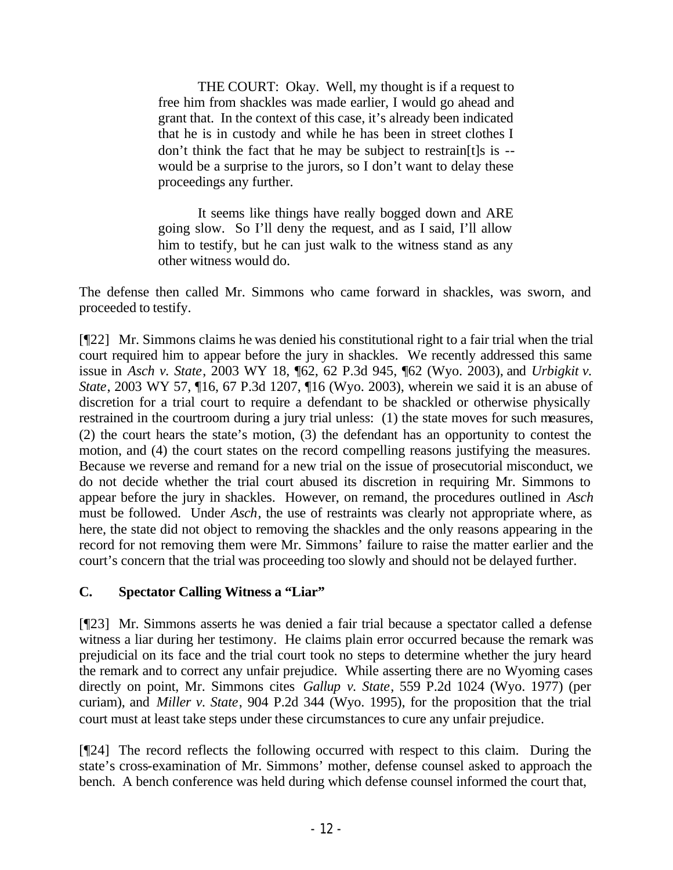THE COURT: Okay. Well, my thought is if a request to free him from shackles was made earlier, I would go ahead and grant that. In the context of this case, it's already been indicated that he is in custody and while he has been in street clothes I don't think the fact that he may be subject to restrain[t]s is - would be a surprise to the jurors, so I don't want to delay these proceedings any further.

It seems like things have really bogged down and ARE going slow. So I'll deny the request, and as I said, I'll allow him to testify, but he can just walk to the witness stand as any other witness would do.

The defense then called Mr. Simmons who came forward in shackles, was sworn, and proceeded to testify.

[¶22] Mr. Simmons claims he was denied his constitutional right to a fair trial when the trial court required him to appear before the jury in shackles. We recently addressed this same issue in *Asch v. State*, 2003 WY 18, ¶62, 62 P.3d 945, ¶62 (Wyo. 2003), and *Urbigkit v. State*, 2003 WY 57, ¶16, 67 P.3d 1207, ¶16 (Wyo. 2003), wherein we said it is an abuse of discretion for a trial court to require a defendant to be shackled or otherwise physically restrained in the courtroom during a jury trial unless: (1) the state moves for such measures, (2) the court hears the state's motion, (3) the defendant has an opportunity to contest the motion, and (4) the court states on the record compelling reasons justifying the measures. Because we reverse and remand for a new trial on the issue of prosecutorial misconduct, we do not decide whether the trial court abused its discretion in requiring Mr. Simmons to appear before the jury in shackles. However, on remand, the procedures outlined in *Asch* must be followed. Under *Asch*, the use of restraints was clearly not appropriate where, as here, the state did not object to removing the shackles and the only reasons appearing in the record for not removing them were Mr. Simmons' failure to raise the matter earlier and the court's concern that the trial was proceeding too slowly and should not be delayed further.

# **C. Spectator Calling Witness a "Liar"**

[¶23] Mr. Simmons asserts he was denied a fair trial because a spectator called a defense witness a liar during her testimony. He claims plain error occurred because the remark was prejudicial on its face and the trial court took no steps to determine whether the jury heard the remark and to correct any unfair prejudice. While asserting there are no Wyoming cases directly on point, Mr. Simmons cites *Gallup v. State*, 559 P.2d 1024 (Wyo. 1977) (per curiam), and *Miller v. State*, 904 P.2d 344 (Wyo. 1995), for the proposition that the trial court must at least take steps under these circumstances to cure any unfair prejudice.

[¶24] The record reflects the following occurred with respect to this claim. During the state's cross-examination of Mr. Simmons' mother, defense counsel asked to approach the bench. A bench conference was held during which defense counsel informed the court that,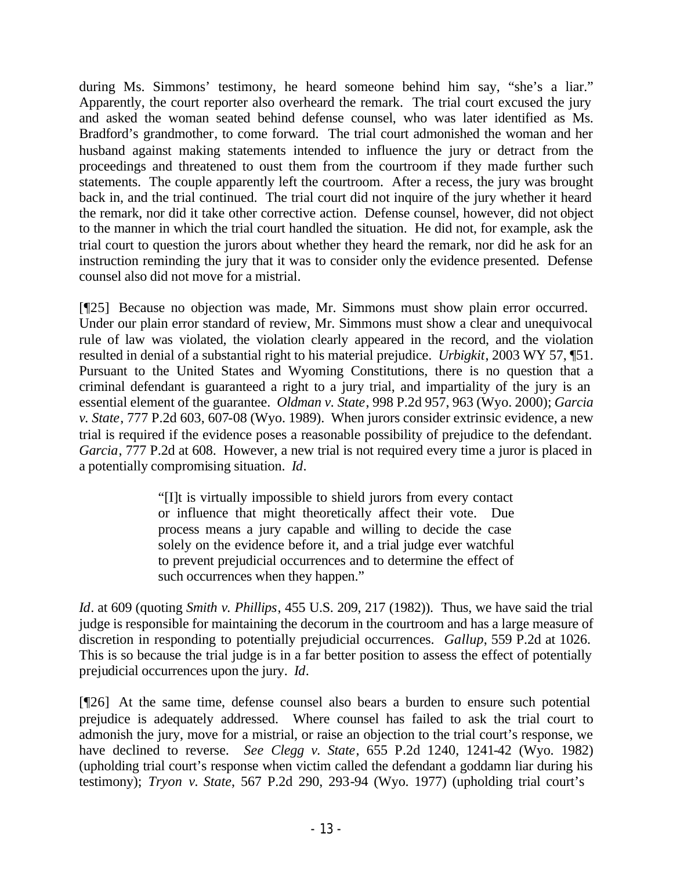during Ms. Simmons' testimony, he heard someone behind him say, "she's a liar." Apparently, the court reporter also overheard the remark. The trial court excused the jury and asked the woman seated behind defense counsel, who was later identified as Ms. Bradford's grandmother, to come forward. The trial court admonished the woman and her husband against making statements intended to influence the jury or detract from the proceedings and threatened to oust them from the courtroom if they made further such statements. The couple apparently left the courtroom. After a recess, the jury was brought back in, and the trial continued. The trial court did not inquire of the jury whether it heard the remark, nor did it take other corrective action. Defense counsel, however, did not object to the manner in which the trial court handled the situation. He did not, for example, ask the trial court to question the jurors about whether they heard the remark, nor did he ask for an instruction reminding the jury that it was to consider only the evidence presented. Defense counsel also did not move for a mistrial.

[¶25] Because no objection was made, Mr. Simmons must show plain error occurred. Under our plain error standard of review, Mr. Simmons must show a clear and unequivocal rule of law was violated, the violation clearly appeared in the record, and the violation resulted in denial of a substantial right to his material prejudice. *Urbigkit*, 2003 WY 57, ¶51. Pursuant to the United States and Wyoming Constitutions, there is no question that a criminal defendant is guaranteed a right to a jury trial, and impartiality of the jury is an essential element of the guarantee. *Oldman v. State*, 998 P.2d 957, 963 (Wyo. 2000); *Garcia v. State*, 777 P.2d 603, 607-08 (Wyo. 1989). When jurors consider extrinsic evidence, a new trial is required if the evidence poses a reasonable possibility of prejudice to the defendant. *Garcia*, 777 P.2d at 608. However, a new trial is not required every time a juror is placed in a potentially compromising situation. *Id*.

> "[I]t is virtually impossible to shield jurors from every contact or influence that might theoretically affect their vote. Due process means a jury capable and willing to decide the case solely on the evidence before it, and a trial judge ever watchful to prevent prejudicial occurrences and to determine the effect of such occurrences when they happen."

*Id*. at 609 (quoting *Smith v. Phillips*, 455 U.S. 209, 217 (1982)). Thus, we have said the trial judge is responsible for maintaining the decorum in the courtroom and has a large measure of discretion in responding to potentially prejudicial occurrences. *Gallup*, 559 P.2d at 1026. This is so because the trial judge is in a far better position to assess the effect of potentially prejudicial occurrences upon the jury. *Id*.

[¶26] At the same time, defense counsel also bears a burden to ensure such potential prejudice is adequately addressed. Where counsel has failed to ask the trial court to admonish the jury, move for a mistrial, or raise an objection to the trial court's response, we have declined to reverse. *See Clegg v. State*, 655 P.2d 1240, 1241-42 (Wyo. 1982) (upholding trial court's response when victim called the defendant a goddamn liar during his testimony); *Tryon v. State*, 567 P.2d 290, 293-94 (Wyo. 1977) (upholding trial court's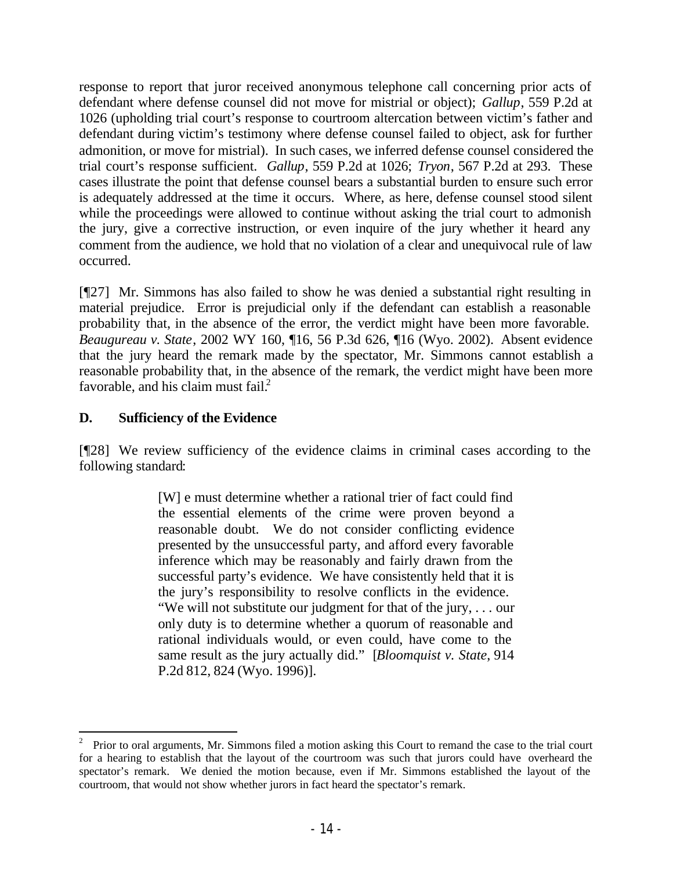response to report that juror received anonymous telephone call concerning prior acts of defendant where defense counsel did not move for mistrial or object); *Gallup*, 559 P.2d at 1026 (upholding trial court's response to courtroom altercation between victim's father and defendant during victim's testimony where defense counsel failed to object, ask for further admonition, or move for mistrial). In such cases, we inferred defense counsel considered the trial court's response sufficient. *Gallup*, 559 P.2d at 1026; *Tryon*, 567 P.2d at 293. These cases illustrate the point that defense counsel bears a substantial burden to ensure such error is adequately addressed at the time it occurs. Where, as here, defense counsel stood silent while the proceedings were allowed to continue without asking the trial court to admonish the jury, give a corrective instruction, or even inquire of the jury whether it heard any comment from the audience, we hold that no violation of a clear and unequivocal rule of law occurred.

[¶27] Mr. Simmons has also failed to show he was denied a substantial right resulting in material prejudice. Error is prejudicial only if the defendant can establish a reasonable probability that, in the absence of the error, the verdict might have been more favorable. *Beaugureau v. State*, 2002 WY 160, ¶16, 56 P.3d 626, ¶16 (Wyo. 2002). Absent evidence that the jury heard the remark made by the spectator, Mr. Simmons cannot establish a reasonable probability that, in the absence of the remark, the verdict might have been more favorable, and his claim must fail. $\frac{2}{3}$ 

# **D. Sufficiency of the Evidence**

[¶28] We review sufficiency of the evidence claims in criminal cases according to the following standard:

> [W] e must determine whether a rational trier of fact could find the essential elements of the crime were proven beyond a reasonable doubt. We do not consider conflicting evidence presented by the unsuccessful party, and afford every favorable inference which may be reasonably and fairly drawn from the successful party's evidence. We have consistently held that it is the jury's responsibility to resolve conflicts in the evidence. "We will not substitute our judgment for that of the jury, . . . our only duty is to determine whether a quorum of reasonable and rational individuals would, or even could, have come to the same result as the jury actually did." [*Bloomquist v. State*, 914 P.2d 812, 824 (Wyo. 1996)].

<sup>2</sup> Prior to oral arguments, Mr. Simmons filed a motion asking this Court to remand the case to the trial court for a hearing to establish that the layout of the courtroom was such that jurors could have overheard the spectator's remark. We denied the motion because, even if Mr. Simmons established the layout of the courtroom, that would not show whether jurors in fact heard the spectator's remark.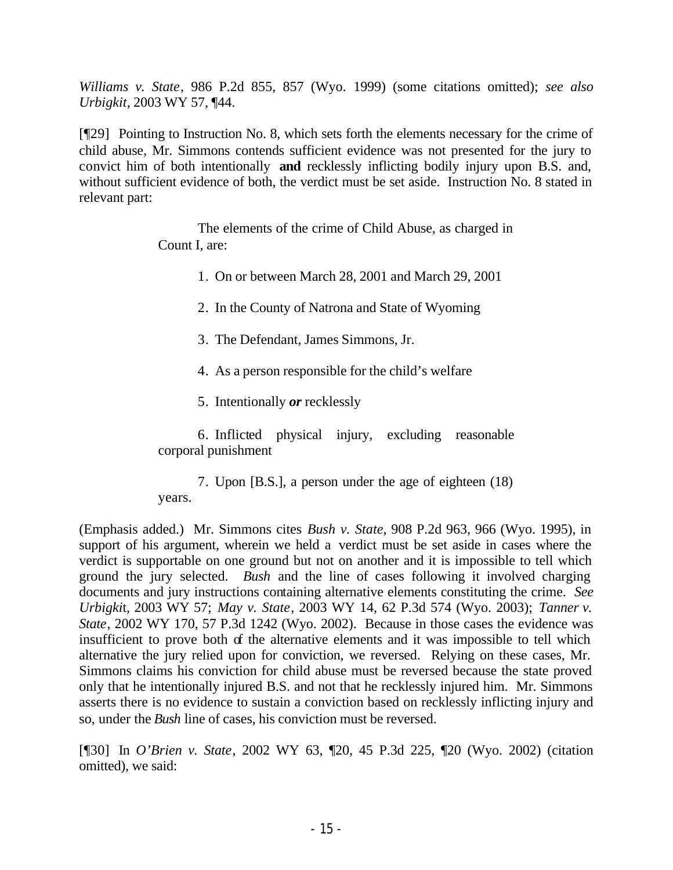*Williams v. State*, 986 P.2d 855, 857 (Wyo. 1999) (some citations omitted); *see also Urbigkit*, 2003 WY 57, ¶44.

[¶29] Pointing to Instruction No. 8, which sets forth the elements necessary for the crime of child abuse, Mr. Simmons contends sufficient evidence was not presented for the jury to convict him of both intentionally **and** recklessly inflicting bodily injury upon B.S. and, without sufficient evidence of both, the verdict must be set aside. Instruction No. 8 stated in relevant part:

> The elements of the crime of Child Abuse, as charged in Count I, are:

> > 1. On or between March 28, 2001 and March 29, 2001

2. In the County of Natrona and State of Wyoming

3. The Defendant, James Simmons, Jr.

4. As a person responsible for the child's welfare

5. Intentionally *or* recklessly

6. Inflicted physical injury, excluding reasonable corporal punishment

7. Upon [B.S.], a person under the age of eighteen (18) years.

(Emphasis added.) Mr. Simmons cites *Bush v. State*, 908 P.2d 963, 966 (Wyo. 1995), in support of his argument, wherein we held a verdict must be set aside in cases where the verdict is supportable on one ground but not on another and it is impossible to tell which ground the jury selected. *Bush* and the line of cases following it involved charging documents and jury instructions containing alternative elements constituting the crime. *See Urbigki*t, 2003 WY 57; *May v. State*, 2003 WY 14, 62 P.3d 574 (Wyo. 2003); *Tanner v. State*, 2002 WY 170, 57 P.3d 1242 (Wyo. 2002). Because in those cases the evidence was insufficient to prove both of the alternative elements and it was impossible to tell which alternative the jury relied upon for conviction, we reversed. Relying on these cases, Mr. Simmons claims his conviction for child abuse must be reversed because the state proved only that he intentionally injured B.S. and not that he recklessly injured him. Mr. Simmons asserts there is no evidence to sustain a conviction based on recklessly inflicting injury and so, under the *Bush* line of cases, his conviction must be reversed.

[¶30] In *O'Brien v. State*, 2002 WY 63, ¶20, 45 P.3d 225, ¶20 (Wyo. 2002) (citation omitted), we said: